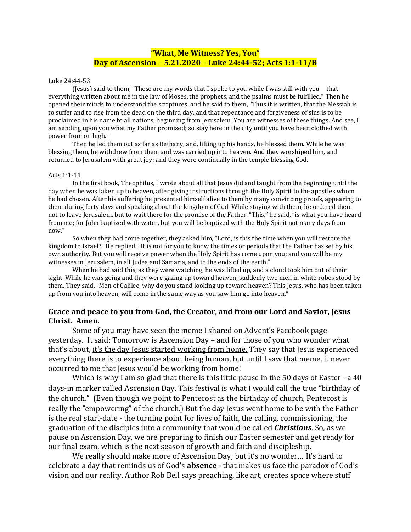## **"What, Me Witness? Yes, You" Day of Ascension – 5.21.2020 – Luke 24:44-52; Acts 1:1-11/B**

## Luke 24:44-53

(Jesus) said to them, "These are my words that I spoke to you while I was still with you—that everything written about me in the law of Moses, the prophets, and the psalms must be fulfilled." Then he opened their minds to understand the scriptures, and he said to them, "Thus it is written, that the Messiah is to suffer and to rise from the dead on the third day, and that repentance and forgiveness of sins is to be proclaimed in his name to all nations, beginning from Jerusalem. You are witnesses of these things. And see, I am sending upon you what my Father promised; so stay here in the city until you have been clothed with power from on high."

Then he led them out as far as Bethany, and, lifting up his hands, he blessed them. While he was blessing them, he withdrew from them and was carried up into heaven. And they worshiped him, and returned to Jerusalem with great joy; and they were continually in the temple blessing God.

## Acts 1:1-11

In the first book, Theophilus, I wrote about all that Jesus did and taught from the beginning until the day when he was taken up to heaven, after giving instructions through the Holy Spirit to the apostles whom he had chosen. After his suffering he presented himself alive to them by many convincing proofs, appearing to them during forty days and speaking about the kingdom of God. While staying with them, he ordered them not to leave Ierusalem, but to wait there for the promise of the Father. "This," he said, "is what you have heard from me; for John baptized with water, but you will be baptized with the Holy Spirit not many days from now."

So when they had come together, they asked him, "Lord, is this the time when you will restore the kingdom to Israel?" He replied, "It is not for you to know the times or periods that the Father has set by his own authority. But you will receive power when the Holy Spirit has come upon you; and you will be my witnesses in Jerusalem, in all Judea and Samaria, and to the ends of the earth."

When he had said this, as they were watching, he was lifted up, and a cloud took him out of their sight. While he was going and they were gazing up toward heaven, suddenly two men in white robes stood by them. They said, "Men of Galilee, why do you stand looking up toward heaven? This Jesus, who has been taken up from you into heaven, will come in the same way as you saw him go into heaven."

## **Grace and peace to you from God, the Creator, and from our Lord and Savior, Jesus Christ. Amen.**

Some of you may have seen the meme I shared on Advent's Facebook page yesterday. It said: Tomorrow is Ascension Day – and for those of you who wonder what that's about, it's the day Jesus started working from home. They say that Jesus experienced everything there is to experience about being human, but until I saw that meme, it never occurred to me that Jesus would be working from home!

Which is why I am so glad that there is this little pause in the 50 days of Easter - a 40 days-in marker called Ascension Day. This festival is what I would call the true "birthday of the church." (Even though we point to Pentecost as the birthday of church, Pentecost is really the "empowering" of the church.) But the day Jesus went home to be with the Father is the real start-date - the turning point for lives of faith, the calling, commissioning, the graduation of the disciples into a community that would be called *Christians*. So, as we pause on Ascension Day, we are preparing to finish our Easter semester and get ready for our final exam, which is the next season of growth and faith and discipleship.

We really should make more of Ascension Day; but it's no wonder... It's hard to celebrate a day that reminds us of God's **absence -** that makes us face the paradox of God's vision and our reality. Author Rob Bell says preaching, like art, creates space where stuff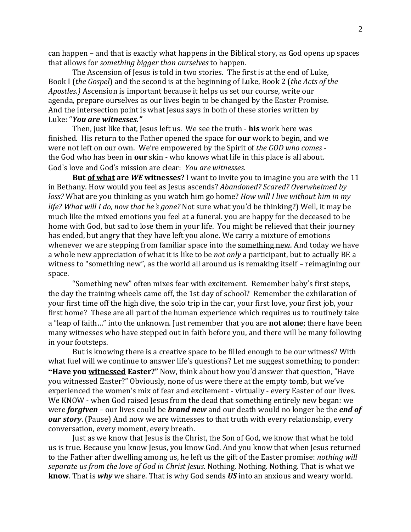can happen – and that is exactly what happens in the Biblical story, as God opens up spaces that allows for *something bigger than ourselves* to happen.

The Ascension of Jesus is told in two stories. The first is at the end of Luke, Book I (*the Gospel*) and the second is at the beginning of Luke, Book 2 (*the Acts of the Apostles.)* Ascension is important because it helps us set our course, write our agenda, prepare ourselves as our lives begin to be changed by the Easter Promise. And the intersection point is what Jesus says in both of these stories written by Luke: "*You are witnesses."*

Then, just like that, Jesus left us. We see the truth - **his** work here was finished. His return to the Father opened the space for **our** work to begin, and we were not left on our own. We're empowered by the Spirit of *the GOD who comes* the God who has been in **our** skin - who knows what life in this place is all about. God's love and God's mission are clear: *You are witnesses.*

**But of what are** *WE* **witnesses?** I want to invite you to imagine you are with the 11 in Bethany. How would you feel as Jesus ascends? *Abandoned? Scared? Overwhelmed by loss?* What are you thinking as you watch him go home? *How will I live without him in my life? What will I do, now that he*'*s gone?* Not sure what you'd be thinking?) Well, it may be much like the mixed emotions you feel at a funeral. you are happy for the deceased to be home with God, but sad to lose them in your life. You might be relieved that their journey has ended, but angry that they have left you alone. We carry a mixture of emotions whenever we are stepping from familiar space into the something new. And today we have a whole new appreciation of what it is like to be *not only* a participant, but to actually BE a witness to "something new", as the world all around us is remaking itself – reimagining our space.

"Something new" often mixes fear with excitement. Remember baby's first steps, the day the training wheels came off, the 1st day of school? Remember the exhilaration of your first time off the high dive, the solo trip in the car, your first love, your first job, your first home? These are all part of the human experience which requires us to routinely take a "leap of faith…" into the unknown. Just remember that you are **not alone**; there have been many witnesses who have stepped out in faith before you, and there will be many following in your footsteps.

But is knowing there is a creative space to be filled enough to be our witness? With what fuel will we continue to answer life's questions? Let me suggest something to ponder: **"Have you witnessed Easter?"** Now, think about how you'd answer that question, "Have you witnessed Easter?" Obviously, none of us were there at the empty tomb, but we've experienced the women's mix of fear and excitement - virtually - every Easter of our lives. We KNOW - when God raised Jesus from the dead that something entirely new began: we were *forgiven* – our lives could be *brand new* and our death would no longer be the *end of our story*. (Pause) And now we are witnesses to that truth with every relationship, every conversation, every moment, every breath.

Just as we know that Jesus is the Christ, the Son of God, we know that what he told us is true. Because you know Jesus, you know God. And you know that when Jesus returned to the Father after dwelling among us, he left us the gift of the Easter promise: *nothing will separate us from the love of God in Christ Jesus.* Nothing. Nothing. Nothing. That is what we **know**. That is *why* we share. That is why God sends *US* into an anxious and weary world.